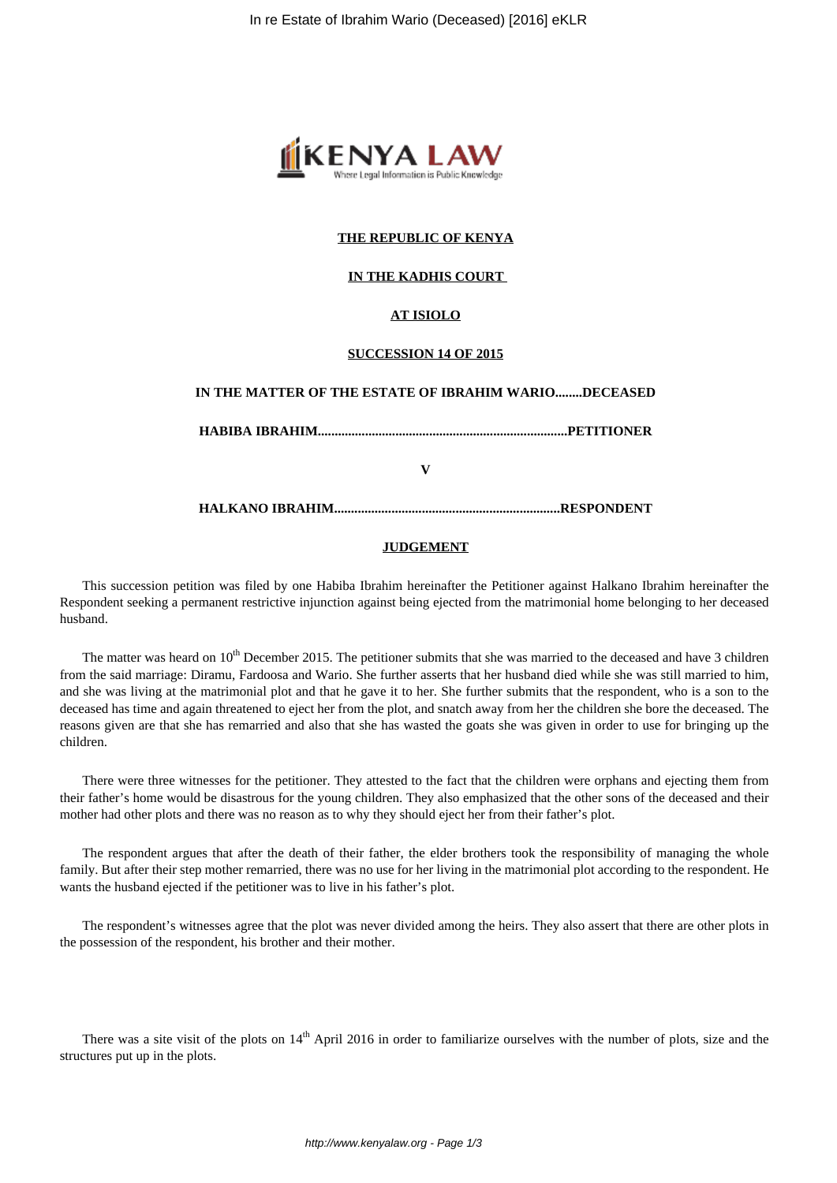

### **THE REPUBLIC OF KENYA**

### **IN THE KADHIS COURT**

## **AT ISIOLO**

#### **SUCCESSION 14 OF 2015**

# **IN THE MATTER OF THE ESTATE OF IBRAHIM WARIO........DECEASED**

**HABIBA IBRAHIM..........................................................................PETITIONER**

**V**

**HALKANO IBRAHIM...................................................................RESPONDENT**

#### **JUDGEMENT**

This succession petition was filed by one Habiba Ibrahim hereinafter the Petitioner against Halkano Ibrahim hereinafter the Respondent seeking a permanent restrictive injunction against being ejected from the matrimonial home belonging to her deceased husband.

The matter was heard on  $10^{th}$  December 2015. The petitioner submits that she was married to the deceased and have 3 children from the said marriage: Diramu, Fardoosa and Wario. She further asserts that her husband died while she was still married to him, and she was living at the matrimonial plot and that he gave it to her. She further submits that the respondent, who is a son to the deceased has time and again threatened to eject her from the plot, and snatch away from her the children she bore the deceased. The reasons given are that she has remarried and also that she has wasted the goats she was given in order to use for bringing up the children.

There were three witnesses for the petitioner. They attested to the fact that the children were orphans and ejecting them from their father's home would be disastrous for the young children. They also emphasized that the other sons of the deceased and their mother had other plots and there was no reason as to why they should eject her from their father's plot.

The respondent argues that after the death of their father, the elder brothers took the responsibility of managing the whole family. But after their step mother remarried, there was no use for her living in the matrimonial plot according to the respondent. He wants the husband ejected if the petitioner was to live in his father's plot.

The respondent's witnesses agree that the plot was never divided among the heirs. They also assert that there are other plots in the possession of the respondent, his brother and their mother.

There was a site visit of the plots on 14<sup>th</sup> April 2016 in order to familiarize ourselves with the number of plots, size and the structures put up in the plots.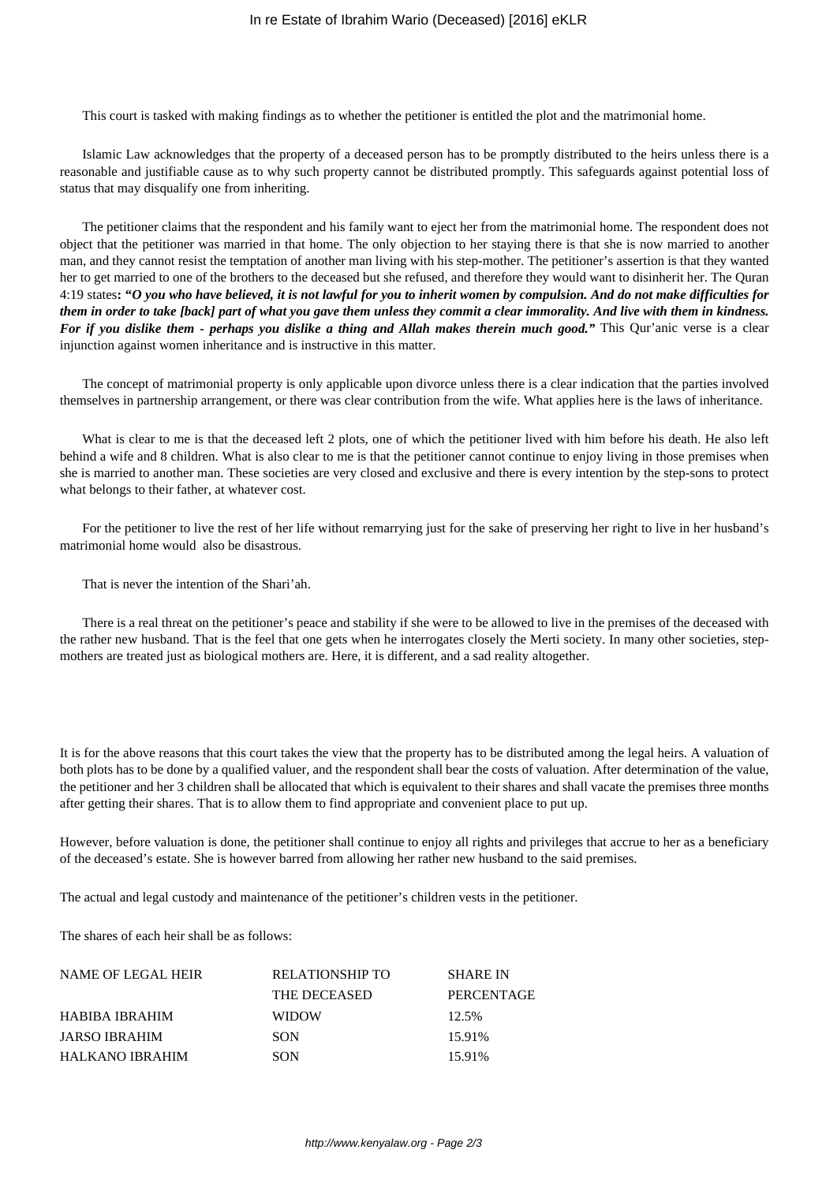This court is tasked with making findings as to whether the petitioner is entitled the plot and the matrimonial home.

Islamic Law acknowledges that the property of a deceased person has to be promptly distributed to the heirs unless there is a reasonable and justifiable cause as to why such property cannot be distributed promptly. This safeguards against potential loss of status that may disqualify one from inheriting.

The petitioner claims that the respondent and his family want to eject her from the matrimonial home. The respondent does not object that the petitioner was married in that home. The only objection to her staying there is that she is now married to another man, and they cannot resist the temptation of another man living with his step-mother. The petitioner's assertion is that they wanted her to get married to one of the brothers to the deceased but she refused, and therefore they would want to disinherit her. The Quran 4:19 states**: "***O you who have believed, it is not lawful for you to inherit women by compulsion. And do not make difficulties for them in order to take [back] part of what you gave them unless they commit a clear immorality. And live with them in kindness. For if you dislike them - perhaps you dislike a thing and Allah makes therein much good.*" This Qur'anic verse is a clear injunction against women inheritance and is instructive in this matter.

The concept of matrimonial property is only applicable upon divorce unless there is a clear indication that the parties involved themselves in partnership arrangement, or there was clear contribution from the wife. What applies here is the laws of inheritance.

What is clear to me is that the deceased left 2 plots, one of which the petitioner lived with him before his death. He also left behind a wife and 8 children. What is also clear to me is that the petitioner cannot continue to enjoy living in those premises when she is married to another man. These societies are very closed and exclusive and there is every intention by the step-sons to protect what belongs to their father, at whatever cost.

For the petitioner to live the rest of her life without remarrying just for the sake of preserving her right to live in her husband's matrimonial home would also be disastrous.

That is never the intention of the Shari'ah.

There is a real threat on the petitioner's peace and stability if she were to be allowed to live in the premises of the deceased with the rather new husband. That is the feel that one gets when he interrogates closely the Merti society. In many other societies, stepmothers are treated just as biological mothers are. Here, it is different, and a sad reality altogether.

It is for the above reasons that this court takes the view that the property has to be distributed among the legal heirs. A valuation of both plots has to be done by a qualified valuer, and the respondent shall bear the costs of valuation. After determination of the value, the petitioner and her 3 children shall be allocated that which is equivalent to their shares and shall vacate the premises three months after getting their shares. That is to allow them to find appropriate and convenient place to put up.

However, before valuation is done, the petitioner shall continue to enjoy all rights and privileges that accrue to her as a beneficiary of the deceased's estate. She is however barred from allowing her rather new husband to the said premises.

The actual and legal custody and maintenance of the petitioner's children vests in the petitioner.

The shares of each heir shall be as follows:

| RELATIONSHIP TO | <b>SHARE IN</b> |
|-----------------|-----------------|
| THE DECEASED    | PERCENTAGE      |
| <b>WIDOW</b>    | 12.5%           |
| <b>SON</b>      | 15.91%          |
| <b>SON</b>      | 15.91%          |
|                 |                 |